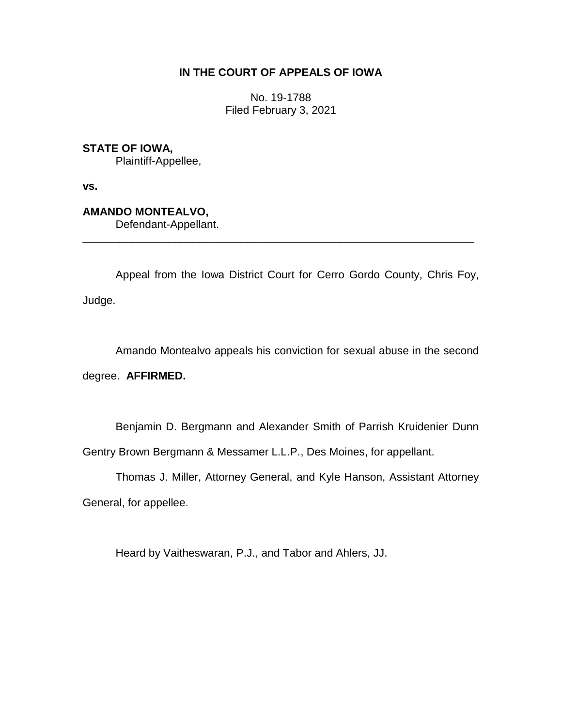# **IN THE COURT OF APPEALS OF IOWA**

No. 19-1788 Filed February 3, 2021

**STATE OF IOWA,**

Plaintiff-Appellee,

**vs.**

**AMANDO MONTEALVO,**

Defendant-Appellant.

Appeal from the Iowa District Court for Cerro Gordo County, Chris Foy, Judge.

\_\_\_\_\_\_\_\_\_\_\_\_\_\_\_\_\_\_\_\_\_\_\_\_\_\_\_\_\_\_\_\_\_\_\_\_\_\_\_\_\_\_\_\_\_\_\_\_\_\_\_\_\_\_\_\_\_\_\_\_\_\_\_\_

Amando Montealvo appeals his conviction for sexual abuse in the second

degree. **AFFIRMED.**

Benjamin D. Bergmann and Alexander Smith of Parrish Kruidenier Dunn Gentry Brown Bergmann & Messamer L.L.P., Des Moines, for appellant.

Thomas J. Miller, Attorney General, and Kyle Hanson, Assistant Attorney General, for appellee.

Heard by Vaitheswaran, P.J., and Tabor and Ahlers, JJ.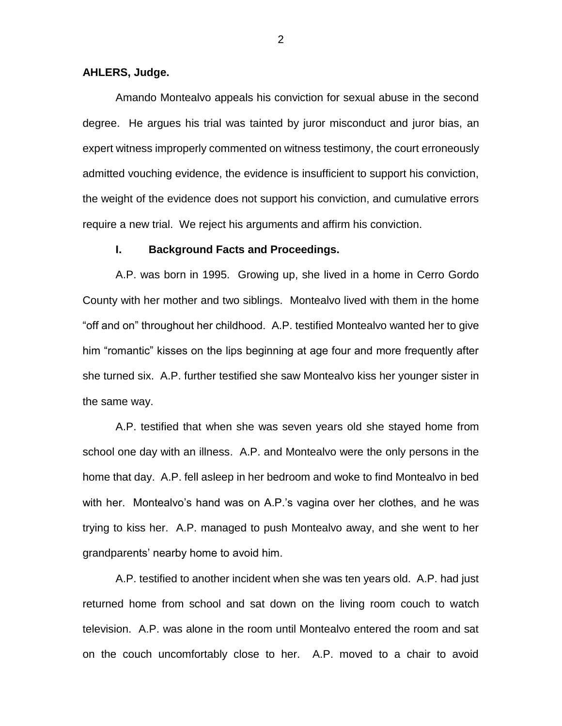### **AHLERS, Judge.**

Amando Montealvo appeals his conviction for sexual abuse in the second degree. He argues his trial was tainted by juror misconduct and juror bias, an expert witness improperly commented on witness testimony, the court erroneously admitted vouching evidence, the evidence is insufficient to support his conviction, the weight of the evidence does not support his conviction, and cumulative errors require a new trial. We reject his arguments and affirm his conviction.

#### **I. Background Facts and Proceedings.**

A.P. was born in 1995. Growing up, she lived in a home in Cerro Gordo County with her mother and two siblings. Montealvo lived with them in the home "off and on" throughout her childhood. A.P. testified Montealvo wanted her to give him "romantic" kisses on the lips beginning at age four and more frequently after she turned six. A.P. further testified she saw Montealvo kiss her younger sister in the same way.

A.P. testified that when she was seven years old she stayed home from school one day with an illness. A.P. and Montealvo were the only persons in the home that day. A.P. fell asleep in her bedroom and woke to find Montealvo in bed with her. Montealvo's hand was on A.P.'s vagina over her clothes, and he was trying to kiss her. A.P. managed to push Montealvo away, and she went to her grandparents' nearby home to avoid him.

A.P. testified to another incident when she was ten years old. A.P. had just returned home from school and sat down on the living room couch to watch television. A.P. was alone in the room until Montealvo entered the room and sat on the couch uncomfortably close to her. A.P. moved to a chair to avoid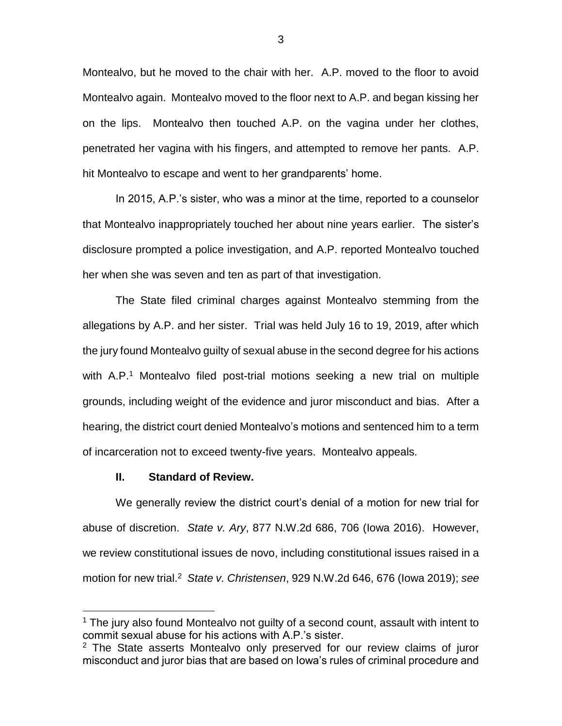Montealvo, but he moved to the chair with her. A.P. moved to the floor to avoid Montealvo again. Montealvo moved to the floor next to A.P. and began kissing her on the lips. Montealvo then touched A.P. on the vagina under her clothes, penetrated her vagina with his fingers, and attempted to remove her pants. A.P. hit Montealvo to escape and went to her grandparents' home.

In 2015, A.P.'s sister, who was a minor at the time, reported to a counselor that Montealvo inappropriately touched her about nine years earlier. The sister's disclosure prompted a police investigation, and A.P. reported Montealvo touched her when she was seven and ten as part of that investigation.

The State filed criminal charges against Montealvo stemming from the allegations by A.P. and her sister. Trial was held July 16 to 19, 2019, after which the jury found Montealvo guilty of sexual abuse in the second degree for his actions with A.P.<sup>1</sup> Montealvo filed post-trial motions seeking a new trial on multiple grounds, including weight of the evidence and juror misconduct and bias. After a hearing, the district court denied Montealvo's motions and sentenced him to a term of incarceration not to exceed twenty-five years. Montealvo appeals.

### **II. Standard of Review.**

 $\overline{a}$ 

We generally review the district court's denial of a motion for new trial for abuse of discretion. *State v. Ary*, 877 N.W.2d 686, 706 (Iowa 2016). However, we review constitutional issues de novo, including constitutional issues raised in a motion for new trial. 2 *State v. Christensen*, 929 N.W.2d 646, 676 (Iowa 2019); *see* 

 $1$  The jury also found Montealvo not quilty of a second count, assault with intent to commit sexual abuse for his actions with A.P.'s sister.

 $2$  The State asserts Montealvo only preserved for our review claims of juror misconduct and juror bias that are based on Iowa's rules of criminal procedure and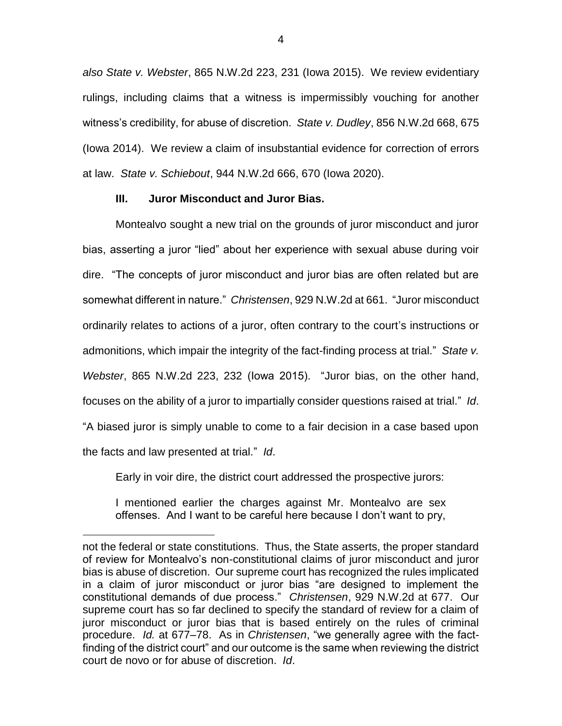*also State v. Webster*, 865 N.W.2d 223, 231 (Iowa 2015). We review evidentiary rulings, including claims that a witness is impermissibly vouching for another witness's credibility, for abuse of discretion. *State v. Dudley*, 856 N.W.2d 668, 675 (Iowa 2014). We review a claim of insubstantial evidence for correction of errors at law. *State v. Schiebout*, 944 N.W.2d 666, 670 (Iowa 2020).

## **III. Juror Misconduct and Juror Bias.**

 $\overline{a}$ 

Montealvo sought a new trial on the grounds of juror misconduct and juror bias, asserting a juror "lied" about her experience with sexual abuse during voir dire. "The concepts of juror misconduct and juror bias are often related but are somewhat different in nature." *Christensen*, 929 N.W.2d at 661. "Juror misconduct ordinarily relates to actions of a juror, often contrary to the court's instructions or admonitions, which impair the integrity of the fact-finding process at trial." *State v. Webster*, 865 N.W.2d 223, 232 (Iowa 2015). "Juror bias, on the other hand, focuses on the ability of a juror to impartially consider questions raised at trial." *Id*. "A biased juror is simply unable to come to a fair decision in a case based upon the facts and law presented at trial." *Id*.

Early in voir dire, the district court addressed the prospective jurors:

I mentioned earlier the charges against Mr. Montealvo are sex offenses. And I want to be careful here because I don't want to pry,

not the federal or state constitutions. Thus, the State asserts, the proper standard of review for Montealvo's non-constitutional claims of juror misconduct and juror bias is abuse of discretion. Our supreme court has recognized the rules implicated in a claim of juror misconduct or juror bias "are designed to implement the constitutional demands of due process." *Christensen*, 929 N.W.2d at 677. Our supreme court has so far declined to specify the standard of review for a claim of juror misconduct or juror bias that is based entirely on the rules of criminal procedure. *Id.* at 677–78. As in *Christensen*, "we generally agree with the factfinding of the district court" and our outcome is the same when reviewing the district court de novo or for abuse of discretion. *Id*.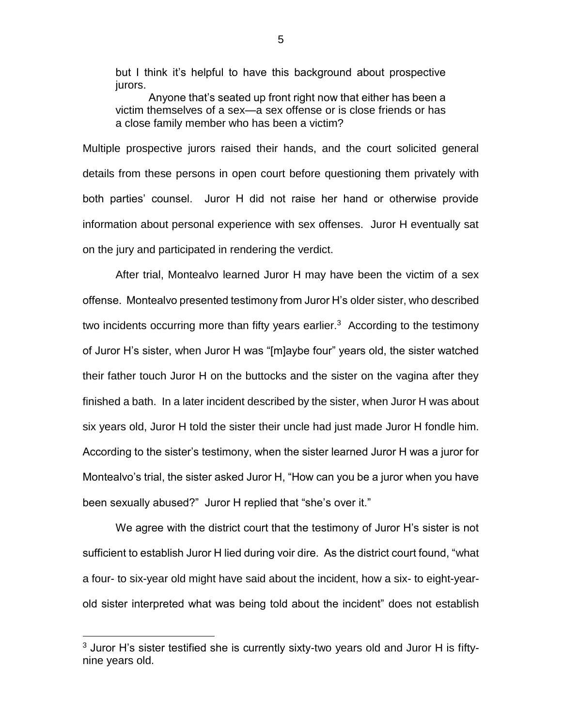but I think it's helpful to have this background about prospective jurors.

Anyone that's seated up front right now that either has been a victim themselves of a sex—a sex offense or is close friends or has a close family member who has been a victim?

Multiple prospective jurors raised their hands, and the court solicited general details from these persons in open court before questioning them privately with both parties' counsel. Juror H did not raise her hand or otherwise provide information about personal experience with sex offenses. Juror H eventually sat on the jury and participated in rendering the verdict.

After trial, Montealvo learned Juror H may have been the victim of a sex offense. Montealvo presented testimony from Juror H's older sister, who described two incidents occurring more than fifty years earlier.<sup>3</sup> According to the testimony of Juror H's sister, when Juror H was "[m]aybe four" years old, the sister watched their father touch Juror H on the buttocks and the sister on the vagina after they finished a bath. In a later incident described by the sister, when Juror H was about six years old, Juror H told the sister their uncle had just made Juror H fondle him. According to the sister's testimony, when the sister learned Juror H was a juror for Montealvo's trial, the sister asked Juror H, "How can you be a juror when you have been sexually abused?" Juror H replied that "she's over it."

We agree with the district court that the testimony of Juror H's sister is not sufficient to establish Juror H lied during voir dire. As the district court found, "what a four- to six-year old might have said about the incident, how a six- to eight-yearold sister interpreted what was being told about the incident" does not establish

 $\overline{a}$ 

 $3$  Juror H's sister testified she is currently sixty-two years old and Juror H is fiftynine years old.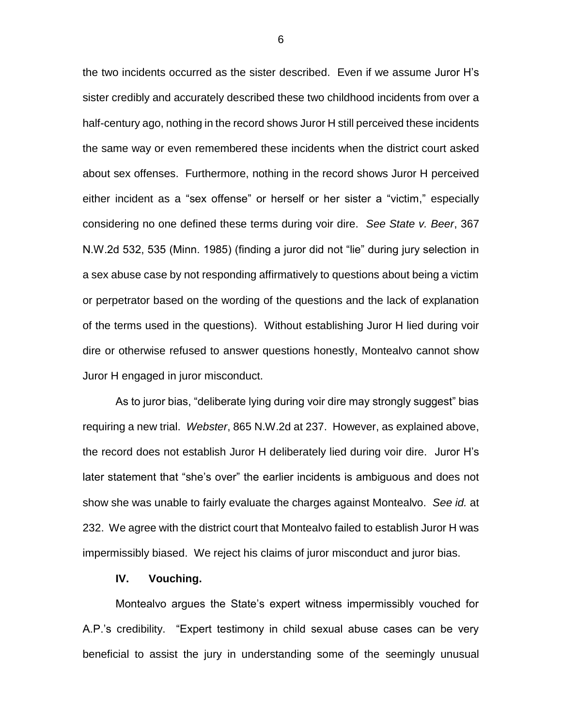the two incidents occurred as the sister described. Even if we assume Juror H's sister credibly and accurately described these two childhood incidents from over a half-century ago, nothing in the record shows Juror H still perceived these incidents the same way or even remembered these incidents when the district court asked about sex offenses. Furthermore, nothing in the record shows Juror H perceived either incident as a "sex offense" or herself or her sister a "victim," especially considering no one defined these terms during voir dire. *See State v. Beer*, 367 N.W.2d 532, 535 (Minn. 1985) (finding a juror did not "lie" during jury selection in a sex abuse case by not responding affirmatively to questions about being a victim or perpetrator based on the wording of the questions and the lack of explanation of the terms used in the questions). Without establishing Juror H lied during voir dire or otherwise refused to answer questions honestly, Montealvo cannot show Juror H engaged in juror misconduct.

As to juror bias, "deliberate lying during voir dire may strongly suggest" bias requiring a new trial. *Webster*, 865 N.W.2d at 237. However, as explained above, the record does not establish Juror H deliberately lied during voir dire. Juror H's later statement that "she's over" the earlier incidents is ambiguous and does not show she was unable to fairly evaluate the charges against Montealvo. *See id.* at 232. We agree with the district court that Montealvo failed to establish Juror H was impermissibly biased. We reject his claims of juror misconduct and juror bias.

#### **IV. Vouching.**

Montealvo argues the State's expert witness impermissibly vouched for A.P.'s credibility. "Expert testimony in child sexual abuse cases can be very beneficial to assist the jury in understanding some of the seemingly unusual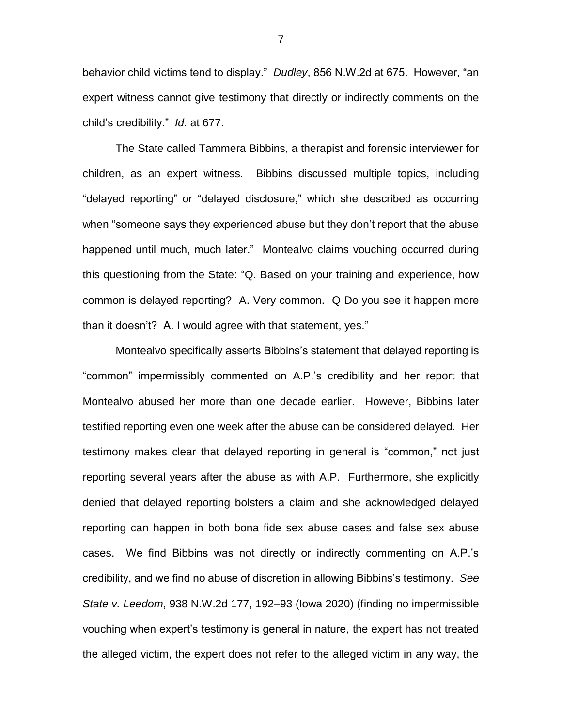behavior child victims tend to display." *Dudley*, 856 N.W.2d at 675. However, "an expert witness cannot give testimony that directly or indirectly comments on the child's credibility." *Id.* at 677.

The State called Tammera Bibbins, a therapist and forensic interviewer for children, as an expert witness. Bibbins discussed multiple topics, including "delayed reporting" or "delayed disclosure," which she described as occurring when "someone says they experienced abuse but they don't report that the abuse happened until much, much later." Montealvo claims vouching occurred during this questioning from the State: "Q. Based on your training and experience, how common is delayed reporting? A. Very common. Q Do you see it happen more than it doesn't? A. I would agree with that statement, yes."

Montealvo specifically asserts Bibbins's statement that delayed reporting is "common" impermissibly commented on A.P.'s credibility and her report that Montealvo abused her more than one decade earlier. However, Bibbins later testified reporting even one week after the abuse can be considered delayed. Her testimony makes clear that delayed reporting in general is "common," not just reporting several years after the abuse as with A.P. Furthermore, she explicitly denied that delayed reporting bolsters a claim and she acknowledged delayed reporting can happen in both bona fide sex abuse cases and false sex abuse cases. We find Bibbins was not directly or indirectly commenting on A.P.'s credibility, and we find no abuse of discretion in allowing Bibbins's testimony. *See State v. Leedom*, 938 N.W.2d 177, 192–93 (Iowa 2020) (finding no impermissible vouching when expert's testimony is general in nature, the expert has not treated the alleged victim, the expert does not refer to the alleged victim in any way, the

7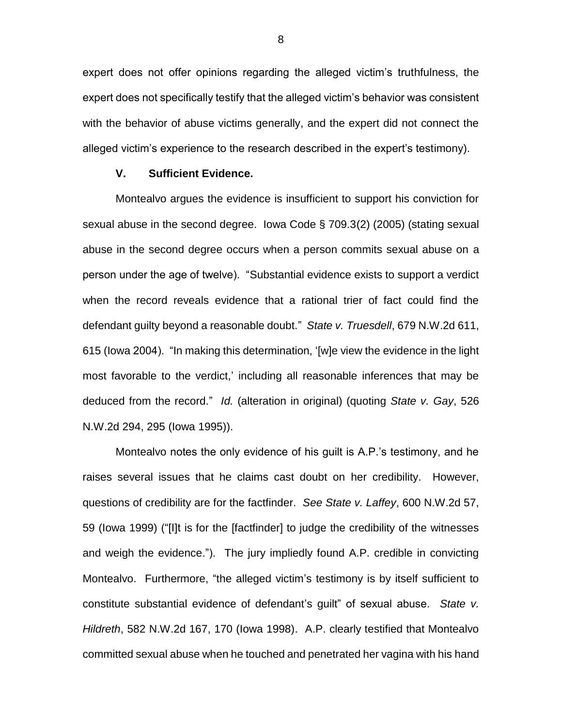expert does not offer opinions regarding the alleged victim's truthfulness, the expert does not specifically testify that the alleged victim's behavior was consistent with the behavior of abuse victims generally, and the expert did not connect the alleged victim's experience to the research described in the expert's testimony).

### **V. Sufficient Evidence.**

Montealvo argues the evidence is insufficient to support his conviction for sexual abuse in the second degree. Iowa Code § 709.3(2) (2005) (stating sexual abuse in the second degree occurs when a person commits sexual abuse on a person under the age of twelve). "Substantial evidence exists to support a verdict when the record reveals evidence that a rational trier of fact could find the defendant guilty beyond a reasonable doubt." *State v. Truesdell*, 679 N.W.2d 611, 615 (Iowa 2004). "In making this determination, '[w]e view the evidence in the light most favorable to the verdict,' including all reasonable inferences that may be deduced from the record." *Id.* (alteration in original) (quoting *State v. Gay*, 526 N.W.2d 294, 295 (Iowa 1995)).

Montealvo notes the only evidence of his guilt is A.P.'s testimony, and he raises several issues that he claims cast doubt on her credibility. However, questions of credibility are for the factfinder. *See State v. Laffey*, 600 N.W.2d 57, 59 (Iowa 1999) ("[I]t is for the [factfinder] to judge the credibility of the witnesses and weigh the evidence."). The jury impliedly found A.P. credible in convicting Montealvo. Furthermore, "the alleged victim's testimony is by itself sufficient to constitute substantial evidence of defendant's guilt" of sexual abuse. *State v. Hildreth*, 582 N.W.2d 167, 170 (Iowa 1998). A.P. clearly testified that Montealvo committed sexual abuse when he touched and penetrated her vagina with his hand

8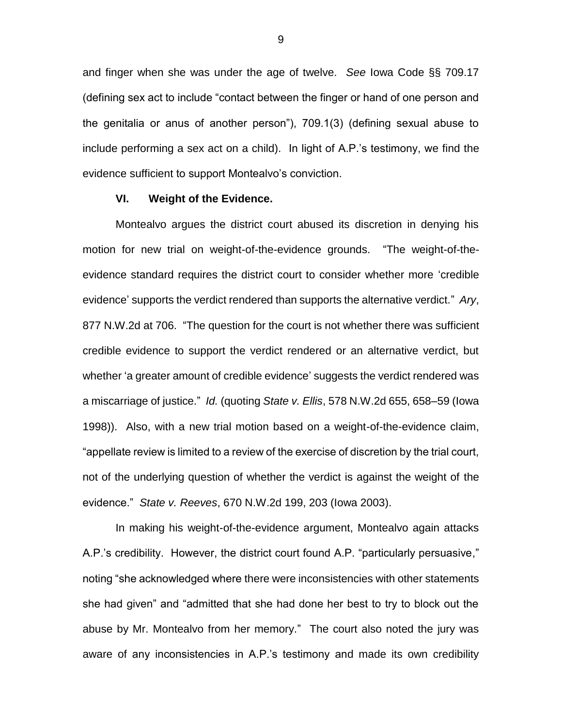and finger when she was under the age of twelve. *See* Iowa Code §§ 709.17 (defining sex act to include "contact between the finger or hand of one person and the genitalia or anus of another person"), 709.1(3) (defining sexual abuse to include performing a sex act on a child). In light of A.P.'s testimony, we find the evidence sufficient to support Montealvo's conviction.

### **VI. Weight of the Evidence.**

Montealvo argues the district court abused its discretion in denying his motion for new trial on weight-of-the-evidence grounds. "The weight-of-theevidence standard requires the district court to consider whether more 'credible evidence' supports the verdict rendered than supports the alternative verdict." *Ary*, 877 N.W.2d at 706. "The question for the court is not whether there was sufficient credible evidence to support the verdict rendered or an alternative verdict, but whether 'a greater amount of credible evidence' suggests the verdict rendered was a miscarriage of justice." *Id.* (quoting *State v. Ellis*, 578 N.W.2d 655, 658–59 (Iowa 1998)). Also, with a new trial motion based on a weight-of-the-evidence claim, "appellate review is limited to a review of the exercise of discretion by the trial court, not of the underlying question of whether the verdict is against the weight of the evidence." *State v. Reeves*, 670 N.W.2d 199, 203 (Iowa 2003).

In making his weight-of-the-evidence argument, Montealvo again attacks A.P.'s credibility. However, the district court found A.P. "particularly persuasive," noting "she acknowledged where there were inconsistencies with other statements she had given" and "admitted that she had done her best to try to block out the abuse by Mr. Montealvo from her memory." The court also noted the jury was aware of any inconsistencies in A.P.'s testimony and made its own credibility